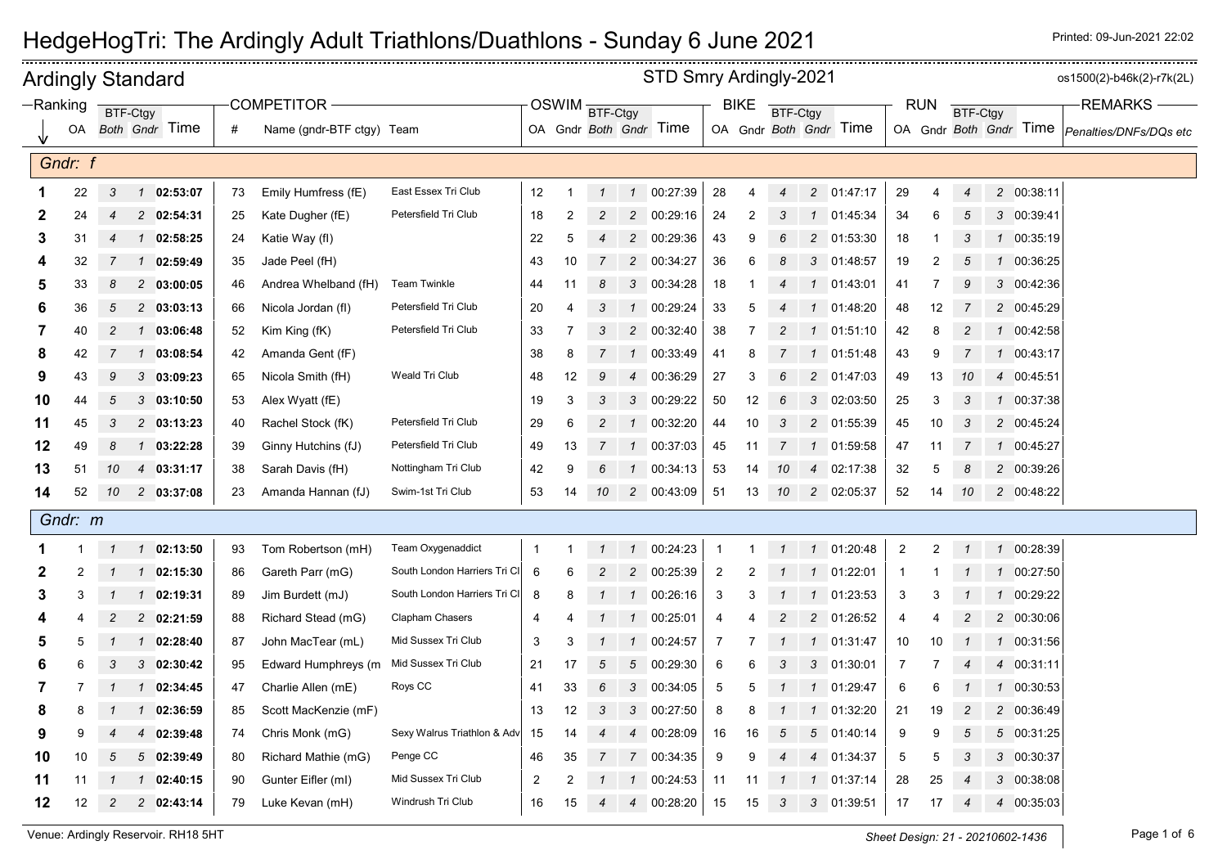|    |            |                | <b>Ardingly Standard</b> |                    |    |                           |                              |                |    |                |                 | STD Smry Ardingly-2021 |                |             |                 |                  |                        |                |                |                |                |            | os1500(2)-b46k(2)-r7k(2L)                     |
|----|------------|----------------|--------------------------|--------------------|----|---------------------------|------------------------------|----------------|----|----------------|-----------------|------------------------|----------------|-------------|-----------------|------------------|------------------------|----------------|----------------|----------------|----------------|------------|-----------------------------------------------|
|    | $-Ranking$ |                | BTF-Ctgy                 |                    |    | <b>COMPETITOR</b>         |                              |                |    | OSWIM BTF-Ctgy |                 |                        |                | <b>BIKE</b> | <b>BTF-Ctgy</b> |                  |                        |                | <b>RUN</b>     | BTF-Ctgy       |                |            | <b>REMARKS</b>                                |
|    | OA         |                | Both Gndr Time           |                    | #  | Name (gndr-BTF ctgy) Team |                              |                |    |                |                 | OA Gndr Both Gndr Time |                |             |                 |                  | OA Gndr Both Gndr Time |                |                |                |                |            | OA Gndr Both Gndr Time Penalties/DNFs/DQs etc |
|    | Gndr: f    |                |                          |                    |    |                           |                              |                |    |                |                 |                        |                |             |                 |                  |                        |                |                |                |                |            |                                               |
|    | 22         | 3              |                          | $1$ 02:53:07       | 73 | Emily Humfress (fE)       | East Essex Tri Club          | 12             |    | $\mathcal I$   |                 | 1 00:27:39             | 28             | 4           | $\overline{4}$  |                  | 2 01:47:17             | 29             | 4              | $\overline{4}$ |                | 2 00:38:11 |                                               |
| 2  | 24         | 4              |                          | 2 02:54:31         | 25 | Kate Dugher (fE)          | Petersfield Tri Club         | 18             | 2  | $\overline{c}$ |                 | 2 00:29:16             | 24             | 2           | 3               | $\mathbf{1}$     | 01:45:34               | 34             | 6              | 5              |                | 3 00:39:41 |                                               |
| 3  | 31         | 4              |                          | 1 02:58:25         | 24 | Katie Way (fl)            |                              | 22             | 5  | 4              |                 | 2 00:29:36             | 43             | 9           | 6               | $\overline{2}$   | 01:53:30               | 18             |                | 3              | $\mathbf{1}$   | 00:35:19   |                                               |
|    | 32         | 7              |                          | 1 02:59:49         | 35 | Jade Peel (fH)            |                              | 43             | 10 | $\overline{7}$ | $\overline{2}$  | 00:34:27               | 36             | 6           | 8               |                  | 3 01:48:57             | 19             | 2              |                |                | 00:36:25   |                                               |
| 5  | 33         | 8              |                          | 2 03:00:05         | 46 | Andrea Whelband (fH)      | <b>Team Twinkle</b>          | 44             | 11 | 8              |                 | 3 00:34:28             | 18             |             | 4               |                  | 1 01:43:01             | 41             |                | 9              |                | 3 00:42:36 |                                               |
|    | 36         | 5              |                          | $2$ 03:03:13       | 66 | Nicola Jordan (fl)        | Petersfield Tri Club         | 20             | 4  | 3              | $\mathcal{I}$   | 00:29:24               | 33             | 5           |                 | 1                | 01:48:20               | 48             | 12             |                |                | 2 00:45:29 |                                               |
| 7  | 40         | $\overline{c}$ |                          | 1 03:06:48         | 52 | Kim King (fK)             | Petersfield Tri Club         | 33             | -7 | 3              |                 | 2 00:32:40             | 38             |             | 2               | -1               | 01:51:10               | 42             | 8              | 2              | $\mathcal{I}$  | 00:42:58   |                                               |
| 8  | 42         |                |                          | 1 03:08:54         | 42 | Amanda Gent (fF)          |                              | 38             | 8  |                | $\mathcal{I}$   | 00:33:49               | 41             | 8           |                 | $\mathbf{1}$     | 01:51:48               | 43             | 9              |                | $\mathcal{I}$  | 00:43:17   |                                               |
| 9  | 43         | 9              |                          | 303:09:23          | 65 | Nicola Smith (fH)         | Weald Tri Club               | 48             | 12 | 9              | $\overline{4}$  | 00:36:29               | 27             | 3           | 6               |                  | 2 01:47:03             | 49             | 13             | 10             | $\overline{4}$ | 00:45:51   |                                               |
| 10 | 44         | 5              |                          | 303:10:50          | 53 | Alex Wyatt (fE)           |                              | 19             | 3  | 3              |                 | 3 00:29:22             | 50             | 12          | 6               |                  | 3 02:03:50             | 25             | 3              | 3              | $\mathcal I$   | 00:37:38   |                                               |
| 11 | 45         | 3              |                          | 2 03:13:23         | 40 | Rachel Stock (fK)         | Petersfield Tri Club         | 29             | 6  | $\overline{c}$ | $\mathcal{I}$   | 00:32:20               | 44             | 10          | 3               |                  | 2 01:55:39             | 45             | 10             | 3              | $\overline{c}$ | 00:45:24   |                                               |
| 12 | 49         | 8              |                          | $1$ 03:22:28       | 39 | Ginny Hutchins (fJ)       | Petersfield Tri Club         | 49             | 13 | $\overline{7}$ | $\mathcal{I}$   | 00:37:03               | 45             | 11          | $\overline{7}$  |                  | 1 01:59:58             | 47             | 11             | 7              |                | 1 00:45:27 |                                               |
| 13 | 51         | 10             |                          | 4 03:31:17         | 38 | Sarah Davis (fH)          | Nottingham Tri Club          | 42             | 9  | 6              | $\mathcal{I}$   | 00:34:13               | 53             | 14          | 10              | $\overline{4}$   | 02:17:38               | 32             | 5              | 8              |                | 2 00:39:26 |                                               |
| 14 | 52         | 10             |                          | 2 03:37:08         | 23 | Amanda Hannan (fJ)        | Swim-1st Tri Club            | 53             | 14 | 10             |                 | 2 00:43:09             | 51             | 13          | 10              |                  | 2 02:05:37             | 52             | 14             | 10             |                | 2 00:48:22 |                                               |
|    | Gndr: m    |                |                          |                    |    |                           |                              |                |    |                |                 |                        |                |             |                 |                  |                        |                |                |                |                |            |                                               |
|    |            | $\mathcal I$   |                          | $1$ 02:13:50       | 93 | Tom Robertson (mH)        | Team Oxygenaddict            | -1             |    | $\mathbf{1}$   | $\mathcal{I}$   | 00:24:23               | $\overline{1}$ | 1           | $\mathbf{1}$    |                  | 1 01:20:48             | $\overline{2}$ | $\overline{c}$ | $\overline{1}$ |                | 1 00:28:39 |                                               |
| 2  | 2          |                |                          | $1 \quad 02:15:30$ | 86 | Gareth Parr (mG)          | South London Harriers Tri CI | 6              | 6  | 2              | $\overline{2}$  | 00:25:39               | $\overline{2}$ |             |                 | $\left  \right $ | 01:22:01               | $\mathbf{1}$   |                |                | $\mathcal I$   | 00:27:50   |                                               |
| 3  |            |                |                          | 1 02:19:31         | 89 | Jim Burdett (mJ)          | South London Harriers Tri CI | 8              | 8  |                | $\mathcal{I}$   | 00:26:16               | 3              | 3           |                 | $\mathcal{I}$    | 01:23:53               | 3              |                |                |                | 00:29:22   |                                               |
|    |            | 2              |                          | 2 02:21:59         | 88 | Richard Stead (mG)        | Clapham Chasers              | 4              |    |                | $\mathcal{I}$   | 00:25:01               | $\overline{4}$ |             | 2               |                  | 2 01:26:52             | 4              |                |                |                | 2 00:30:06 |                                               |
|    | 5          |                |                          | $1 \quad 02:28:40$ | 87 | John MacTear (mL)         | Mid Sussex Tri Club          | 3              | 3  | $\mathbf{1}$   | $\mathbf{1}$    | 00:24:57               | $\overline{7}$ | 7           | 1               | $\mathcal{I}$    | 01:31:47               | 10             | 10             |                | $\mathcal I$   | 00:31:56   |                                               |
|    | 6          | 3              |                          | 302:30:42          | 95 | Edward Humphreys (m       | Mid Sussex Tri Club          | 21             | 17 | 5              | $5\overline{)}$ | 00:29:30               | 6              | 6           | 3               | 3                | 01:30:01               | 7              |                |                | 4              | 00:31:11   |                                               |
| 7  |            |                |                          | 1 02:34:45         | 47 | Charlie Allen (mE)        | Roys CC                      | 41             | 33 | 6              | 3               | 00:34:05               | 5              | 5           |                 |                  | 1 01:29:47             | 6              | 6              |                |                | 00:30:53   |                                               |
| 8  |            |                |                          | 1 02:36:59         | 85 | Scott MacKenzie (mF)      |                              | 13             | 12 | 3              |                 | 3 00:27:50             | 8              | 8           |                 | $\mathcal{I}$    | 01:32:20               | 21             | 19             | $\overline{c}$ |                | 2 00:36:49 |                                               |
|    |            |                |                          | 4 02:39:48         | 74 | Chris Monk (mG)           | Sexy Walrus Triathlon & Adv  | 15             | 14 | 4              | $\overline{4}$  | 00:28:09               | 16             | 16          | 5               | $5\overline{)}$  | 01:40:14               | 9              | 9              | 5              |                | 5 00:31:25 |                                               |
| 10 | 10         | 5              |                          | 502:39:49          | 80 | Richard Mathie (mG)       | Penge CC                     | 46             | 35 |                | $\overline{7}$  | 00:34:35               | 9              | 9           |                 | $\overline{4}$   | 01:34:37               | 5              | 5              | 3              | 3              | 00:30:37   |                                               |
| 11 | -11        |                |                          | 102:40:15          | 90 | Gunter Eifler (ml)        | Mid Sussex Tri Club          | $\overline{c}$ | 2  |                | $\mathcal{I}$   | 00:24:53               | 11             | 11          |                 |                  | 1 01:37:14             | 28             | 25             |                |                | 3 00:38:08 |                                               |
| 12 | 12         | $\overline{c}$ |                          | 2 02:43:14         | 79 | Luke Kevan (mH)           | Windrush Tri Club            | 16             | 15 | 4              | $\overline{4}$  | 00:28:20               | 15             | 15          | 3               | 3                | 01:39:51               | 17             | 17             | 4              | $\overline{4}$ | 00:35:03   |                                               |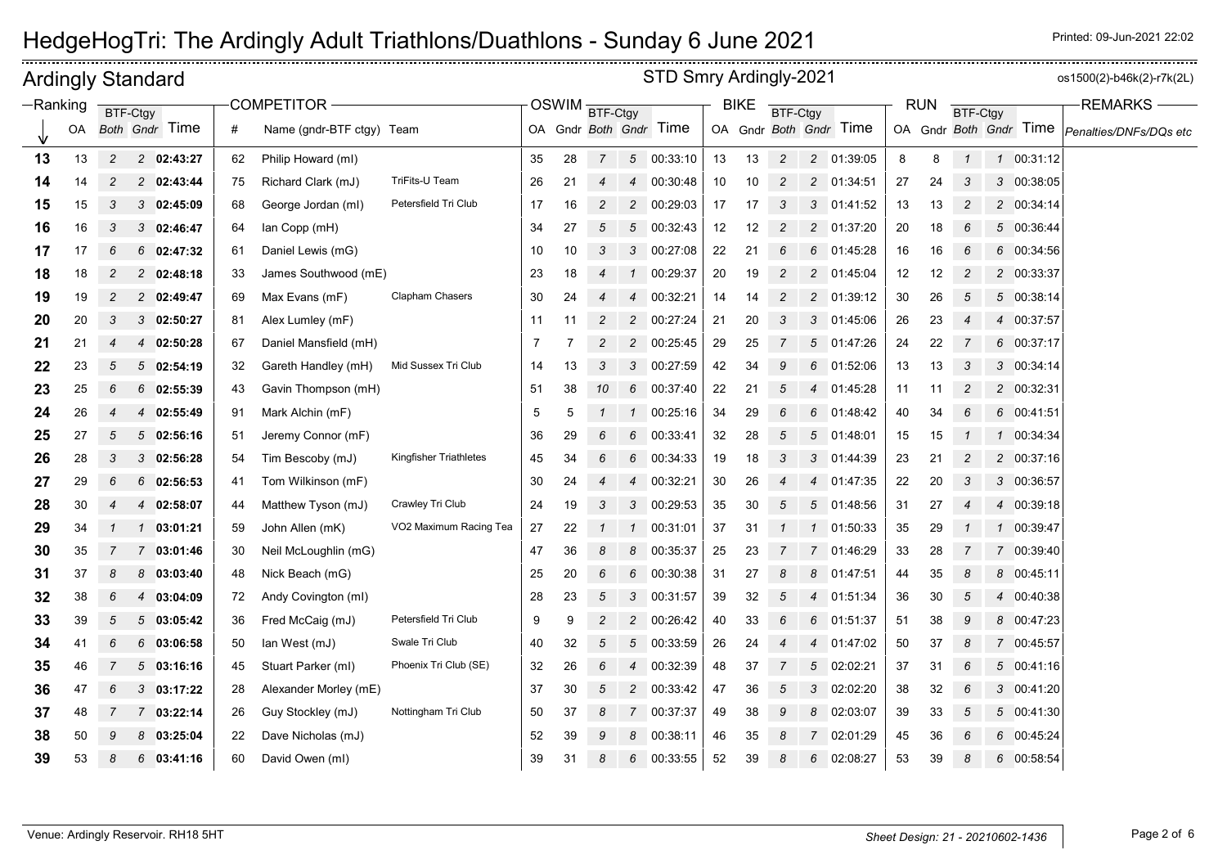| <b>Ardingly Standard</b> |    |                |                |                |    |                           |                               |    |    |                |                | STD Smry Ardingly-2021 |    |             |                 |                |                        |    |            |                 |               |                        | os1500(2)-b46k(2)-r7k(2L) |
|--------------------------|----|----------------|----------------|----------------|----|---------------------------|-------------------------------|----|----|----------------|----------------|------------------------|----|-------------|-----------------|----------------|------------------------|----|------------|-----------------|---------------|------------------------|---------------------------|
| $-Ranking$               |    |                | BTF-Ctgy       |                |    | <b>COMPETITOR</b>         |                               |    |    | OSWIM BTF-Ctgy |                |                        |    | <b>BIKE</b> | <b>BTF-Ctgy</b> |                |                        |    | <b>RUN</b> | <b>BTF-Ctgy</b> |               |                        | <b>REMARKS</b>            |
|                          | OA |                |                | Both Gndr Time | #  | Name (gndr-BTF ctgy) Team |                               |    |    |                |                | OA Gndr Both Gndr Time |    |             |                 |                | OA Gndr Both Gndr Time |    |            |                 |               | OA Gndr Both Gndr Time | Penalties/DNFs/DQs etc    |
| 13                       | 13 | $\overline{c}$ |                | 2 02:43:27     | 62 | Philip Howard (ml)        |                               | 35 | 28 | $\overline{7}$ |                | 5 00:33:10             | 13 | 13          | $\sqrt{2}$      | $\overline{c}$ | 01:39:05               | 8  | 8          | $\mathbf{1}$    |               | 1 00:31:12             |                           |
| 14                       | 14 | 2              |                | 2 02:43:44     | 75 | Richard Clark (mJ)        | TriFits-U Team                | 26 | 21 | 4              | $\overline{4}$ | 00:30:48               | 10 | 10          | $\overline{c}$  | $\overline{c}$ | 01:34:51               | 27 | 24         | 3               |               | 3 00:38:05             |                           |
| 15                       | 15 | 3              |                | 302:45:09      | 68 | George Jordan (ml)        | Petersfield Tri Club          | 17 | 16 | $\overline{c}$ | $\overline{c}$ | 00:29:03               | 17 | 17          | 3               | 3              | 01:41:52               | 13 | 13         | $\overline{c}$  |               | 2 00:34:14             |                           |
| 16                       | 16 | 3              |                | 3 02:46:47     | 64 | lan Copp (mH)             |                               | 34 | 27 | 5              | 5              | 00:32:43               | 12 | 12          | $\overline{c}$  | $\overline{c}$ | 01:37:20               | 20 | 18         | 6               |               | 5 00:36:44             |                           |
| 17                       | 17 | 6              | 6              | 02:47:32       | 61 | Daniel Lewis (mG)         |                               | 10 | 10 | 3              | 3              | 00:27:08               | 22 | 21          | 6               | 6              | 01:45:28               | 16 | 16         | 6               |               | 6 00:34:56             |                           |
| 18                       | 18 | 2              |                | 2 02:48:18     | 33 | James Southwood (mE)      |                               | 23 | 18 | 4              | $\mathcal{I}$  | 00:29:37               | 20 | 19          | $\overline{c}$  | 2              | 01:45:04               | 12 | 12         | $\overline{c}$  |               | 2 00:33:37             |                           |
| 19                       | 19 | 2              |                | 2 02:49:47     | 69 | Max Evans (mF)            | <b>Clapham Chasers</b>        | 30 | 24 |                | 4              | 00:32:21               | 14 | 14          | $\overline{c}$  | $\overline{c}$ | 01:39:12               | 30 | 26         | 5               |               | 5 00:38:14             |                           |
| 20                       | 20 | 3              |                | 302:50:27      | 81 | Alex Lumley (mF)          |                               | 11 | 11 |                | 2              | 00:27:24               | 21 | 20          | 3               | 3              | 01:45:06               | 26 | 23         | $\overline{4}$  |               | 4 00:37:57             |                           |
| 21                       | 21 | 4              | $\overline{4}$ | 02:50:28       | 67 | Daniel Mansfield (mH)     |                               | 7  |    | $\overline{c}$ | $\overline{c}$ | 00:25:45               | 29 | 25          | 7               | 5              | 01:47:26               | 24 | 22         | 7               |               | 6 00:37:17             |                           |
| 22                       | 23 | 5              | 5              | 02:54:19       | 32 | Gareth Handley (mH)       | Mid Sussex Tri Club           | 14 | 13 | 3              | 3              | 00:27:59               | 42 | 34          | 9               | 6              | 01:52:06               | 13 | 13         | 3               |               | 3 00:34:14             |                           |
| 23                       | 25 | 6              |                | $6$ 02:55:39   | 43 | Gavin Thompson (mH)       |                               | 51 | 38 | 10             | 6              | 00:37:40               | 22 | 21          | 5               | $\overline{4}$ | 01:45:28               | 11 | 11         | $\overline{c}$  |               | 2 00:32:31             |                           |
| 24                       | 26 | 4              | 4              | 02:55:49       | 91 | Mark Alchin (mF)          |                               | 5  | 5  |                | $\mathcal{I}$  | 00:25:16               | 34 | 29          | 6               | 6              | 01:48:42               | 40 | 34         | 6               |               | 6 00:41:51             |                           |
| 25                       | 27 | 5              |                | 502:56:16      | 51 | Jeremy Connor (mF)        |                               | 36 | 29 |                | 6              | 00:33:41               | 32 | 28          | 5               | 5              | 01:48:01               | 15 | 15         | 1               |               | 1 00:34:34             |                           |
| 26                       | 28 | 3              | 3              | 02:56:28       | 54 | Tim Bescoby (mJ)          | <b>Kingfisher Triathletes</b> | 45 | 34 | 6              | 6              | 00:34:33               | 19 | 18          | 3               | 3              | 01:44:39               | 23 | 21         | $\overline{c}$  |               | 2 00:37:16             |                           |
| 27                       | 29 | 6              | 6              | 02:56:53       | 41 | Tom Wilkinson (mF)        |                               | 30 | 24 |                | 4              | 00:32:21               | 30 | 26          | 4               | 4              | 01:47:35               | 22 | 20         | 3               |               | 3 00:36:57             |                           |
| 28                       | 30 | 4              | 4              | 02:58:07       | 44 | Matthew Tyson (mJ)        | Crawley Tri Club              | 24 | 19 | 3              | 3              | 00:29:53               | 35 | 30          | 5               | 5              | 01:48:56               | 31 | 27         | $\overline{4}$  |               | 4 00:39:18             |                           |
| 29                       | 34 |                | 1              | 03:01:21       | 59 | John Allen (mK)           | VO2 Maximum Racing Tea        | 27 | 22 |                | $\mathcal{I}$  | 00:31:01               | 37 | 31          |                 | $\mathbf{1}$   | 01:50:33               | 35 | 29         |                 | $\mathcal{I}$ | 00:39:47               |                           |
| 30                       | 35 | 7              | $\mathbf{7}$   | 03:01:46       | 30 | Neil McLoughlin (mG)      |                               | 47 | 36 | 8              | 8              | 00:35:37               | 25 | 23          |                 | $\overline{7}$ | 01:46:29               | 33 | 28         | 7               |               | 7 00:39:40             |                           |
| 31                       | 37 | 8              | 8              | 03:03:40       | 48 | Nick Beach (mG)           |                               | 25 | 20 | 6              | 6              | 00:30:38               | 31 | 27          | 8               | 8              | 01:47:51               | 44 | 35         | 8               |               | 8 00:45:11             |                           |
| 32                       | 38 | 6              |                | 4 03:04:09     | 72 | Andy Covington (ml)       |                               | 28 | 23 | 5              | 3              | 00:31:57               | 39 | 32          | 5               |                | 01:51:34               | 36 | 30         | 5               |               | 4 00:40:38             |                           |
| 33                       | 39 | 5              | 5              | 03:05:42       | 36 | Fred McCaig (mJ)          | Petersfield Tri Club          | 9  | 9  | $\overline{c}$ | $\overline{c}$ | 00:26:42               | 40 | 33          | 6               | 6              | 01:51:37               | 51 | 38         | 9               |               | 8 00:47:23             |                           |
| 34                       | 41 | 6              |                | 603:06:58      | 50 | lan West (mJ)             | Swale Tri Club                | 40 | 32 | 5              | 5              | 00:33:59               | 26 | 24          |                 | 4              | 01:47:02               | 50 | 37         | 8               |               | 7 00:45:57             |                           |
| 35                       | 46 |                | $5^{\circ}$    | 03:16:16       | 45 | Stuart Parker (ml)        | Phoenix Tri Club (SE)         | 32 | 26 | 6              | $\overline{4}$ | 00:32:39               | 48 | 37          | 7               | 5              | 02:02:21               | 37 | 31         | 6               |               | 5 00:41:16             |                           |
| 36                       | 47 | 6              |                | 303:17:22      | 28 | Alexander Morley (mE)     |                               | 37 | 30 | 5              | $\overline{c}$ | 00:33:42               | 47 | 36          | 5               | 3              | 02:02:20               | 38 | 32         | 6               |               | 3 00:41:20             |                           |
| 37                       | 48 | 7              |                | 7 03:22:14     | 26 | Guy Stockley (mJ)         | Nottingham Tri Club           | 50 | 37 | 8              | $7^{\circ}$    | 00:37:37               | 49 | 38          | 9               | 8              | 02:03:07               | 39 | 33         | 5               |               | 5 00:41:30             |                           |
| 38                       | 50 | 9              |                | 803:25:04      | 22 | Dave Nicholas (mJ)        |                               | 52 | 39 | 9              | 8              | 00:38:11               | 46 | 35          | 8               | $\overline{7}$ | 02:01:29               | 45 | 36         | 6               |               | 6 00:45:24             |                           |
| 39                       | 53 |                |                | $6$ 03:41:16   | 60 | David Owen (ml)           |                               | 39 | 31 |                | 6              | 00:33:55               | 52 | 39          |                 | 6              | 02:08:27               | 53 | 39         | 8               |               | 6 00:58:54             |                           |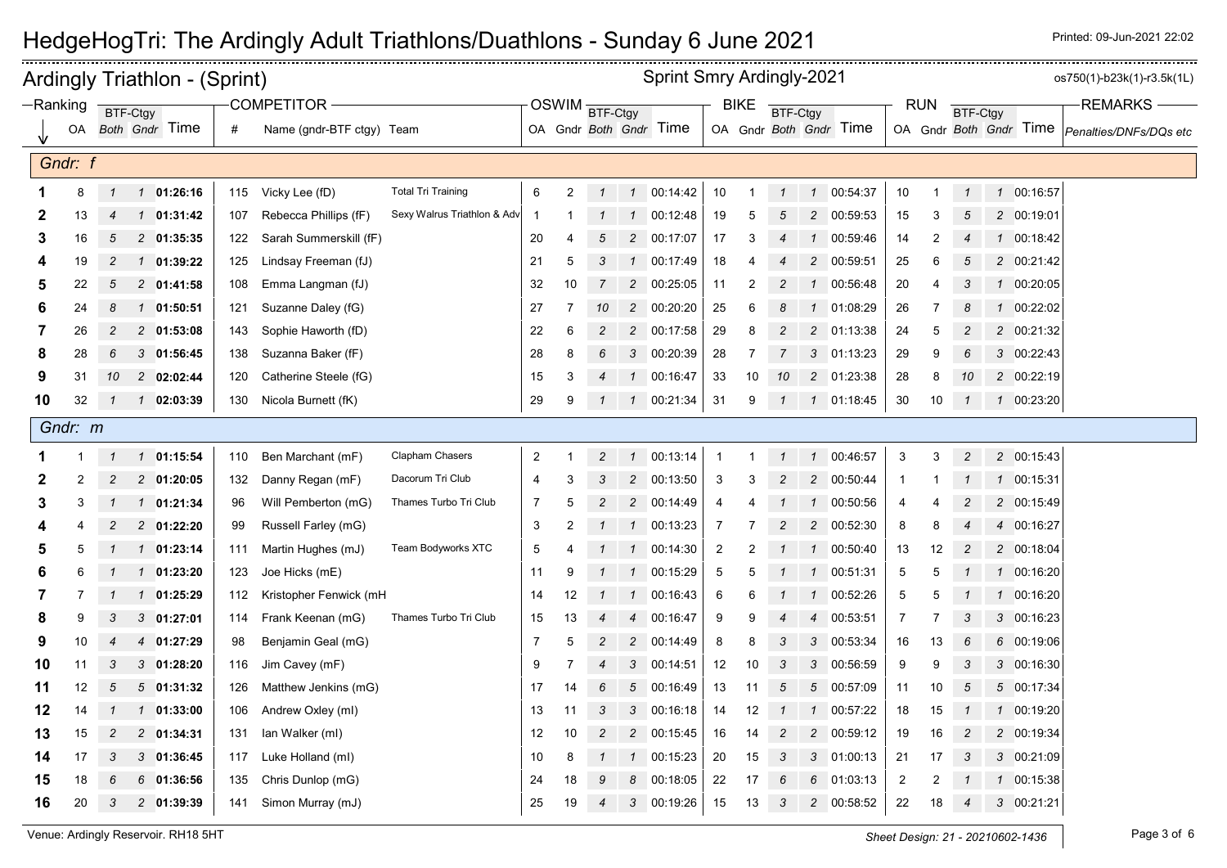|    |            |                | <b>Ardingly Triathlon - (Sprint)</b> |     |                           |                             |                |                |                |                | <b>Sprint Smry Ardingly-2021</b> |                |                |                |                |                        |                |             |                         |               |            | os750(1)-b23k(1)-r3.5k(1L)                    |
|----|------------|----------------|--------------------------------------|-----|---------------------------|-----------------------------|----------------|----------------|----------------|----------------|----------------------------------|----------------|----------------|----------------|----------------|------------------------|----------------|-------------|-------------------------|---------------|------------|-----------------------------------------------|
|    | $-Ranking$ |                | BTF-Ctgy                             |     | COMPETITOR-               |                             |                |                | OSWIM BTF-Ctgy |                |                                  |                | <b>BIKE</b>    | BTF-Ctgy       |                |                        |                | <b>RUN</b>  | BTF-Ctgy                |               |            | <b>REMARKS</b>                                |
|    | OA         |                | <b>Both Gndr Time</b>                | #   | Name (gndr-BTF ctgy) Team |                             |                |                |                |                | OA Gndr Both Gndr Time           |                |                |                |                | OA Gndr Both Gndr Time |                |             |                         |               |            | OA Gndr Both Gndr Time Penalties/DNFs/DQs etc |
|    | Gndr: f    |                |                                      |     |                           |                             |                |                |                |                |                                  |                |                |                |                |                        |                |             |                         |               |            |                                               |
|    | 8          | $\mathcal I$   | $1 \quad 01:26:16$                   | 115 | Vicky Lee (fD)            | <b>Total Tri Training</b>   | 6              | $\overline{2}$ | $\mathcal{I}$  |                | 1 00:14:42                       | $10$           | $\mathbf{1}$   | $\mathbf{1}$   |                | 1 00:54:37             | 10             | $\mathbf 1$ | $\mathbf{1}$            |               | 1 00:16:57 |                                               |
| 2  | 13         | 4              | 1 01:31:42                           | 107 | Rebecca Phillips (fF)     | Sexy Walrus Triathlon & Adv | -1             |                |                | $\mathcal{I}$  | 00:12:48                         | 19             | 5              | 5              |                | 2 00:59:53             | 15             | 3           | 5                       |               | 2 00:19:01 |                                               |
| 3  | 16         | 5              | 2 01:35:35                           | 122 | Sarah Summerskill (fF)    |                             | 20             | 4              | 5              |                | 2 00:17:07                       | 17             | 3              | 4              | $\mathbf 1$    | 00:59:46               | 14             | 2           |                         |               | 00:18:42   |                                               |
|    | 19         | 2              | $1 \quad 01:39:22$                   | 125 | Lindsay Freeman (fJ)      |                             | 21             | 5              | 3              | $\mathcal{I}$  | 00:17:49                         | 18             | 4              |                | $\overline{c}$ | 00:59:51               | 25             | 6           |                         |               | 2 00:21:42 |                                               |
| 5  | 22         | 5              | 2 01:41:58                           | 108 | Emma Langman (fJ)         |                             | 32             | 10             | $\overline{7}$ |                | 2 00:25:05                       | 11             | 2              | $\overline{c}$ | $\mathbf{1}$   | 00:56:48               | 20             | 4           | 3                       |               | 1 00:20:05 |                                               |
| 6  | 24         | 8              | 01:50:51<br>$\mathcal{I}$            | 121 | Suzanne Daley (fG)        |                             | 27             | 7              | 10             |                | 2 00:20:20                       | 25             | 6              | 8              | 1              | 01:08:29               | 26             | 7           | 8                       | $\mathcal{I}$ | 00:22:02   |                                               |
|    | 26         | $\overline{c}$ | $2$ 01:53:08                         | 143 | Sophie Haworth (fD)       |                             | 22             | 6              | $\overline{c}$ |                | 2 00:17:58                       | 29             | 8              | $\overline{c}$ |                | 2 01:13:38             | 24             | 5           | $\overline{c}$          |               | 2 00:21:32 |                                               |
| 8  | 28         | 6              | 3 01:56:45                           | 138 | Suzanna Baker (fF)        |                             | 28             | 8              |                |                | 3 00:20:39                       | 28             | $\overline{7}$ | 7              |                | 3 01:13:23             | 29             | 9           | 6                       |               | 3 00:22:43 |                                               |
| 9  | 31         | 10             | 202:02:44                            | 120 | Catherine Steele (fG)     |                             | 15             | 3              | 4              | $\mathcal{I}$  | 00:16:47                         | 33             | 10             | 10             |                | 2 01:23:38             | 28             | 8           | 10                      |               | 2 00:22:19 |                                               |
| 10 | 32         | $\overline{1}$ | 1 02:03:39                           | 130 | Nicola Burnett (fK)       |                             | 29             | 9              | $\mathcal I$   | $\mathcal{I}$  | 00:21:34                         | 31             | 9              | $\mathbf 1$    |                | 1 01:18:45             | 30             | 10          | $\overline{\mathbf{1}}$ |               | 1 00:23:20 |                                               |
|    | Gndr: m    |                |                                      |     |                           |                             |                |                |                |                |                                  |                |                |                |                |                        |                |             |                         |               |            |                                               |
|    |            | $\mathbf{1}$   | 1 01:15:54                           | 110 | Ben Marchant (mF)         | Clapham Chasers             | 2              |                | $\overline{2}$ | $\mathcal{I}$  | 00:13:14                         | $\overline{1}$ | 1              | $\mathbf{1}$   |                | 1 00:46:57             | 3              | 3           | $\overline{c}$          |               | 2 00:15:43 |                                               |
| 2  | 2          | 2              | 2 01:20:05                           | 132 | Danny Regan (mF)          | Dacorum Tri Club            | 4              | 3              | 3              | $\overline{2}$ | 00:13:50                         | 3              | 3              | $\overline{c}$ | $\overline{c}$ | 00:50:44               | 1              |             |                         |               | 00:15:31   |                                               |
| 3  | 3          |                | 01:21:34<br>$\mathcal{I}$            | 96  | Will Pemberton (mG)       | Thames Turbo Tri Club       | 7              | 5              | $\overline{c}$ | $\overline{2}$ | 00:14:49                         | $\overline{4}$ |                |                | $\mathbf{1}$   | 00:50:56               | 4              |             |                         |               | 2 00:15:49 |                                               |
|    |            | 2              | 2 01:22:20                           | 99  | Russell Farley (mG)       |                             | 3              | 2              | $\mathcal{I}$  |                | 1 00:13:23                       | 7              |                | $\overline{c}$ |                | 2 00:52:30             | 8              | 8           |                         |               | 4 00:16:27 |                                               |
| 5  | 5          |                | $1$ 01:23:14                         | 111 | Martin Hughes (mJ)        | Team Bodyworks XTC          | 5              |                | -1             | $\mathcal{I}$  | 00:14:30                         | $\overline{2}$ | 2              |                | $\mathcal{I}$  | 00:50:40               | 13             | 12          | 2                       |               | 2 00:18:04 |                                               |
| 6  |            |                | 01:23:20<br>$\mathcal{I}$            | 123 | Joe Hicks (mE)            |                             | 11             | 9              |                | $\mathcal{I}$  | 00:15:29                         | 5              | 5              |                | $\mathcal I$   | 00:51:31               | 5              | 5           |                         | $\mathcal{I}$ | 00:16:20   |                                               |
| 7  |            |                | 1 01:25:29                           | 112 | Kristopher Fenwick (mH    |                             | 14             | 12             |                |                | 1 00:16:43                       | 6              | 6              |                | $\mathbf{1}$   | 00:52:26               | $\mathbf 5$    | 5           |                         |               | 1 00:16:20 |                                               |
| 8  | 9          | 3              | 301:27:01                            | 114 | Frank Keenan (mG)         | Thames Turbo Tri Club       | 15             | 13             | 4              | $\overline{4}$ | 00:16:47                         | 9              | 9              | 4              | 4              | 00:53:51               | 7              | 7           | 3                       |               | 3 00:16:23 |                                               |
| 9  | 10         | 4              | 01:27:29<br>$\overline{4}$           | 98  | Benjamin Geal (mG)        |                             | $\overline{7}$ | 5              | $\overline{c}$ |                | 2 00:14:49                       | 8              | 8              | 3              | 3              | 00:53:34               | 16             | 13          | 6                       | 6             | 00:19:06   |                                               |
| 10 | 11         | 3              | $3$ 01:28:20                         | 116 | Jim Cavey (mF)            |                             | 9              |                |                | 3              | 00:14:51                         | 12             | 10             | 3              | 3              | 00:56:59               | 9              | 9           | 3                       |               | 3 00:16:30 |                                               |
| 11 | 12         | 5              | 501:31:32                            | 126 | Matthew Jenkins (mG)      |                             | 17             | 14             | 6              |                | 5 00:16:49                       | 13             | 11             | 5              |                | 5 00:57:09             | 11             | 10          | 5                       |               | 5 00:17:34 |                                               |
| 12 | 14         |                | 01:33:00<br>$\mathcal{I}$            | 106 | Andrew Oxley (ml)         |                             | 13             | 11             | 3              |                | 3 00:16:18                       | 14             | 12             | $\mathcal I$   | $\mathbf{1}$   | 00:57:22               | 18             | 15          |                         |               | 1 00:19:20 |                                               |
| 13 | 15         | 2              | 2 01:34:31                           | 131 | lan Walker (ml)           |                             | 12             | 10             | $\overline{c}$ |                | 2 00:15:45                       | 16             | 14             | $\overline{c}$ | $\overline{a}$ | 00:59:12               | 19             | 16          | $\overline{c}$          |               | 2 00:19:34 |                                               |
| 14 | 17         | 3              | $3$ 01:36:45                         | 117 | Luke Holland (ml)         |                             | 10             | 8              |                |                | 1 00:15:23                       | 20             | 15             | $\mathbf{3}$   |                | 3 01:00:13             | 21             | 17          | 3                       |               | 3 00:21:09 |                                               |
| 15 | 18         | 6              | 6<br>01:36:56                        | 135 | Chris Dunlop (mG)         |                             | 24             | 18             | 9              | 8              | 00:18:05                         | 22             | 17             | 6              | 6              | 01:03:13               | $\overline{2}$ | 2           |                         | $\mathcal{I}$ | 00:15:38   |                                               |
| 16 | 20         | 3              | 2 01:39:39                           | 141 | Simon Murray (mJ)         |                             | 25             | 19             | $\overline{4}$ | 3              | 00:19:26                         | 15             | 13             | 3              |                | 2 00:58:52             | 22             | 18          | Δ                       |               | 3 00:21:21 |                                               |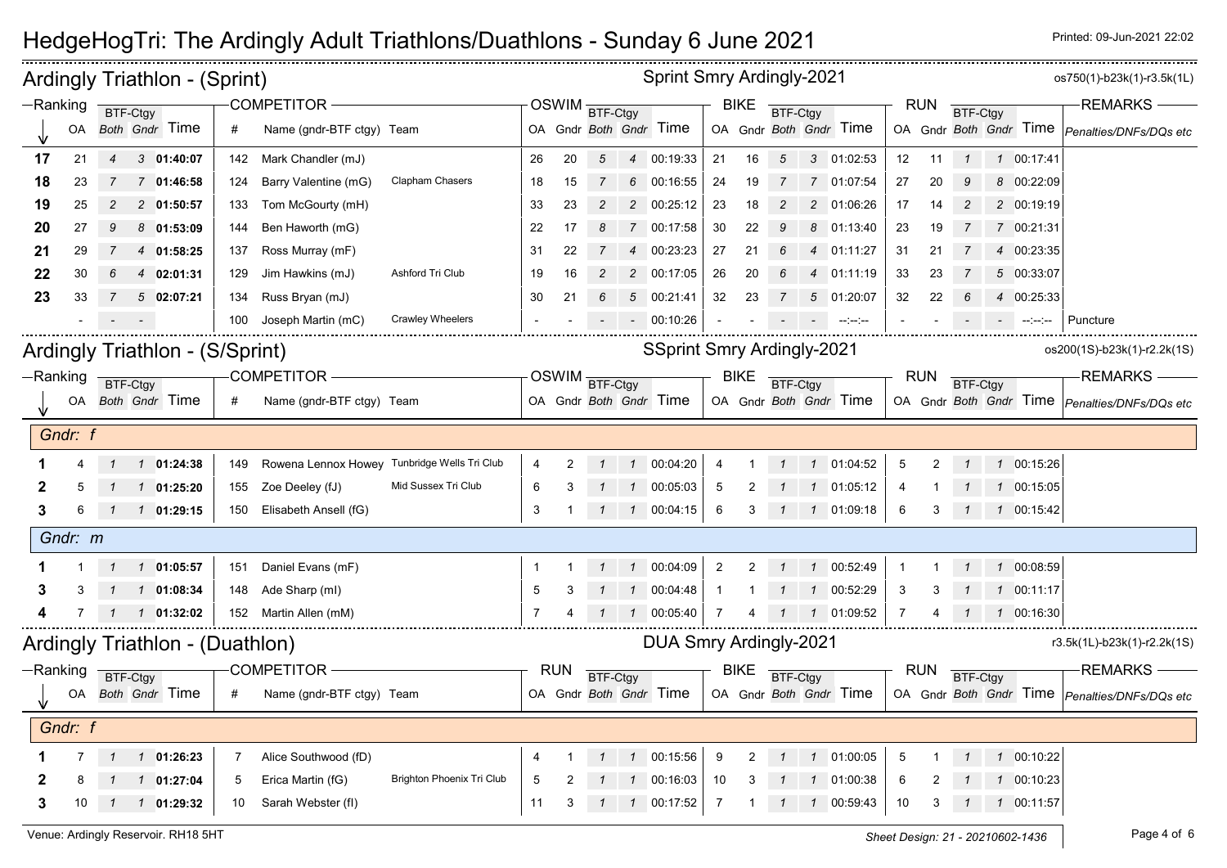|             |           | Ardingly Triathlon - (Sprint)   |                                                  |                           |                |            |                 |               | <b>Sprint Smry Ardingly-2021</b>  |                |              |                |                |                        |                |            |                 |                                                                                                             | os750(1)-b23k(1)-r3.5k(1L)                    |
|-------------|-----------|---------------------------------|--------------------------------------------------|---------------------------|----------------|------------|-----------------|---------------|-----------------------------------|----------------|--------------|----------------|----------------|------------------------|----------------|------------|-----------------|-------------------------------------------------------------------------------------------------------------|-----------------------------------------------|
| $-Ranking$  |           | BTF-Ctgy                        | COMPETITOR-                                      |                           |                |            | OSWIM BTF-Ctgy  |               |                                   |                | <b>BIKE</b>  | BTF-Ctgy       |                |                        |                | <b>RUN</b> | BTF-Ctgy        |                                                                                                             | <b>REMARKS</b>                                |
|             | <b>OA</b> | Both Gndr Time                  | Name (gndr-BTF ctgy) Team<br>#                   |                           |                |            |                 |               | OA Gndr Both Gndr Time            |                |              |                |                | OA Gndr Both Gndr Time |                |            |                 |                                                                                                             | OA Gndr Both Gndr Time Penalties/DNFs/DQs etc |
| 17          | 21        | 3 01:40:07<br>$\overline{4}$    | 142 Mark Chandler (mJ)                           |                           | 26             | 20         | 5               |               | 4 00:19:33                        | 21             | 16           | 5              |                | 3 01:02:53             | 12             | 11         | $\mathbf{1}$    | 1 00:17:41                                                                                                  |                                               |
| 18          | 23        | 7 01:46:58                      | Barry Valentine (mG)<br>124                      | <b>Clapham Chasers</b>    | 18             | 15         | 7               |               | 6 00:16:55                        | 24             | 19           | 7              |                | 7 01:07:54             | 27             | 20         |                 | 8 00:22:09                                                                                                  |                                               |
| 19          | 25        | $\overline{c}$<br>2 01:50:57    | Tom McGourty (mH)<br>133                         |                           | 33             | 23         | $\overline{c}$  |               | 2 00:25:12                        | 23             | 18           | $\overline{2}$ |                | 2 01:06:26             | 17             | 14         | $\overline{c}$  | 2 00:19:19                                                                                                  |                                               |
| 20          | 27        | 8 01:53:09<br>9                 | Ben Haworth (mG)<br>144                          |                           | 22             | 17         | 8               |               | 7 00:17:58                        | 30             | 22           | 9              |                | 8 01:13:40             | 23             | 19         |                 | 7 00:21:31                                                                                                  |                                               |
| 21          | 29        | 4 01:58:25                      | Ross Murray (mF)<br>137                          |                           | 31             | 22         |                 | 4             | 00:23:23                          | 27             | 21           | 6              | $\overline{4}$ | 01:11:27               | 31             | 21         |                 | 4 00:23:35                                                                                                  |                                               |
| 22          | 30        | 4 02:01:31                      | Jim Hawkins (mJ)<br>129                          | Ashford Tri Club          | 19             | 16         | 2               |               | 2 00:17:05                        | 26             | 20           | 6              | $\overline{4}$ | 01:11:19               | 33             | 23         |                 | 5 00:33:07                                                                                                  |                                               |
| 23          | 33        | 502:07:21<br>$\mathbf{7}$       | Russ Bryan (mJ)<br>134                           |                           | 30             | 21         | 6               |               | 5 00:21:41                        | 32             | 23           | $\overline{7}$ | 5              | 01:20:07               | 32             | 22         | 6               | 4 00:25:33                                                                                                  |                                               |
|             |           |                                 | Joseph Martin (mC)<br>100                        | <b>Crawley Wheelers</b>   |                |            |                 |               | $-00:10:26$                       |                |              |                |                | متعامل المنافس         |                |            |                 | $\mathcal{L}^{\mathcal{L}}$ and $\mathcal{L}^{\mathcal{L}}$ are the positive of $\mathcal{L}^{\mathcal{L}}$ | Puncture                                      |
|             |           | Ardingly Triathlon - (S/Sprint) |                                                  |                           |                |            |                 |               | <b>SSprint Smry Ardingly-2021</b> |                |              |                |                |                        |                |            |                 |                                                                                                             | os200(1S)-b23k(1)-r2.2k(1S)                   |
| $-Ranking$  |           | BTF-Ctgy                        | <b>COMPETITOR -</b>                              |                           |                |            | OSWIM BTF-Ctgy  |               |                                   |                | <b>BIKE</b>  | BTF-Ctgy       |                |                        |                | <b>RUN</b> | BTF-Ctgy        |                                                                                                             | <b>REMARKS-</b>                               |
|             |           | OA Both Gndr Time               | #<br>Name (gndr-BTF ctgy) Team                   |                           |                |            |                 |               | OA Gndr Both Gndr Time            |                |              |                |                | OA Gndr Both Gndr Time |                |            |                 |                                                                                                             | OA Gndr Both Gndr Time Penalties/DNFs/DQs etc |
|             | Gndr: f   |                                 |                                                  |                           |                |            |                 |               |                                   |                |              |                |                |                        |                |            |                 |                                                                                                             |                                               |
|             |           | 1 1 01:24:38                    | 149 Rowena Lennox Howey Tunbridge Wells Tri Club |                           | 4              | 2          |                 | $\mathbf{1}$  | 00:04:20                          | 4              |              |                | $\mathcal{I}$  | 01:04:52               | 5              | 2          |                 | 1 00:15:26                                                                                                  |                                               |
|             | 5         | $1 \quad 1 \quad 01:25:20$      | 155 Zoe Deeley (fJ)                              | Mid Sussex Tri Club       | 6              | 3          |                 | $\mathcal{I}$ | 00:05:03                          | 5              | 2            |                |                | 1 1 01:05:12           | 4              |            |                 | 1 00:15:05                                                                                                  |                                               |
| 3           | 6         | $1 \quad 1 \quad 01:29:15$      | 150 Elisabeth Ansell (fG)                        |                           | 3              |            | $\mathcal I$    |               | 1 00:04:15                        | 6              | 3            |                |                | 1 1 01:09:18           | 6              | 3          |                 | 1 00:15:42                                                                                                  |                                               |
|             | Gndr: m   |                                 |                                                  |                           |                |            |                 |               |                                   |                |              |                |                |                        |                |            |                 |                                                                                                             |                                               |
|             |           | 1 1 01:05:57                    | Daniel Evans (mF)<br>151                         |                           | -1             |            |                 |               | 1 00:04:09                        | 2              | 2            | $\mathcal{I}$  |                | 1 00:52:49             | -1             |            |                 | 1 00:08:59                                                                                                  |                                               |
|             |           | 101:08:34                       | Ade Sharp (ml)<br>148                            |                           | 5              | 3          |                 | $\mathcal{I}$ | 00:04:48                          | $\overline{1}$ |              | $\mathcal I$   | $\overline{1}$ | 00:52:29               | 3              | 3          |                 | 1 00:11:17                                                                                                  |                                               |
|             |           | $1 \quad 01:32:02$              | 152 Martin Allen (mM)                            |                           | $\overline{7}$ |            |                 |               | 00:05:40                          | 7              |              |                | $\mathcal{I}$  | 01:09:52               | $\overline{7}$ |            |                 | 1 00:16:30                                                                                                  |                                               |
|             |           | Ardingly Triathlon - (Duathlon) |                                                  |                           |                |            |                 |               | DUA Smry Ardingly-2021            |                |              |                |                |                        |                |            |                 |                                                                                                             | r3.5k(1L)-b23k(1)-r2.2k(1S)                   |
| $-$ Ranking |           | BTF-Ctgy                        | COMPETITOR-                                      |                           |                | <b>RUN</b> | <b>BTF-Ctgy</b> |               |                                   |                | BIKE         | BTF-Ctgy       |                |                        |                | <b>RUN</b> | <b>BTF-Ctgy</b> |                                                                                                             | <b>REMARKS</b>                                |
|             |           | OA Both Gndr Time               | Name (gndr-BTF ctgy) Team<br>#                   |                           |                |            |                 |               | OA Gndr Both Gndr Time            |                |              |                |                | OA Gndr Both Gndr Time |                |            |                 |                                                                                                             | OA Gndr Both Gndr Time Penalties/DNFs/DQs etc |
|             | Gndr: f   |                                 |                                                  |                           |                |            |                 |               |                                   |                |              |                |                |                        |                |            |                 |                                                                                                             |                                               |
|             |           | 1 01:26:23                      | Alice Southwood (fD)<br>7                        |                           | 4              |            |                 | $\mathcal I$  | 00:15:56                          | 9              | 2            | $\mathcal{I}$  | $\overline{1}$ | 01:00:05               | 5              |            |                 | 1 00:10:22                                                                                                  |                                               |
|             |           | $1 \quad 01:27:04$              | Erica Martin (fG)<br>.5                          | Brighton Phoenix Tri Club | 5              |            |                 |               | 00:16:03                          | 10             | 3            |                |                | 1 01:00:38             | 6              |            |                 | 1 00:10:23                                                                                                  |                                               |
| 3           | 10        | $1 \quad 1 \quad 01:29:32$      | Sarah Webster (fl)<br>10                         |                           | 11             | 3          |                 | $\mathcal{I}$ | 00:17:52                          | $\overline{7}$ | $\mathbf{1}$ | $\mathbf{1}$   |                | 1 00:59:43             | 10             | 3          | $\mathcal I$    | 1 00:11:57                                                                                                  |                                               |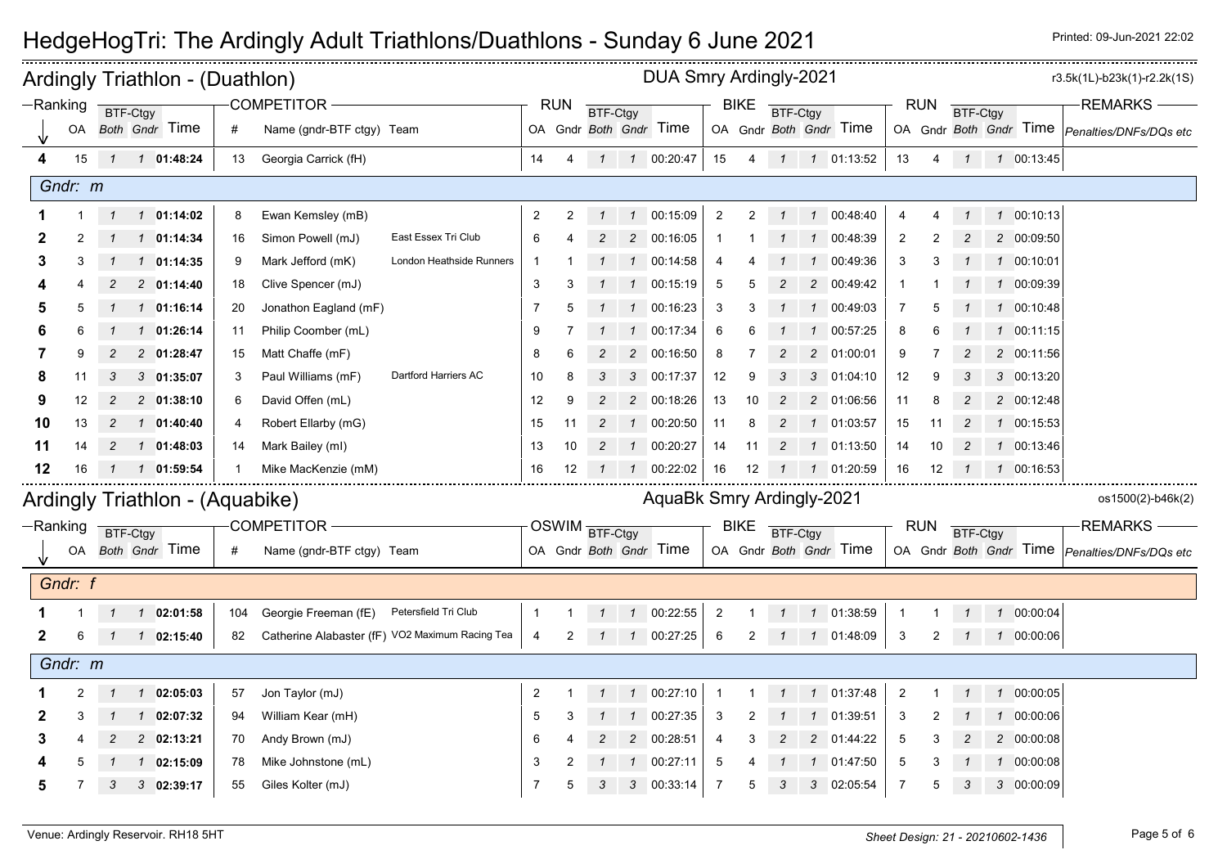|              | Ardingly Triathlon - (Duathlon)<br><b>COMPETITOR -</b><br>$-Ranking$<br>BTF-Ctgy |                |                |                                 |     |                                                 |                          |                |                |                 |                | DUA Smry Ardingly-2021     |                |                |                |                |                        |                |            |                 |                            | r3.5k(1L)-b23k(1)-r2.2k(1S)                          |
|--------------|----------------------------------------------------------------------------------|----------------|----------------|---------------------------------|-----|-------------------------------------------------|--------------------------|----------------|----------------|-----------------|----------------|----------------------------|----------------|----------------|----------------|----------------|------------------------|----------------|------------|-----------------|----------------------------|------------------------------------------------------|
|              |                                                                                  |                |                |                                 |     |                                                 |                          | <b>RUN</b>     |                | <b>BTF-Ctgy</b> |                |                            |                | <b>BIKE</b>    | BTF-Ctgy       |                |                        |                | <b>RUN</b> | <b>BTF-Ctgy</b> |                            | <b>REMARKS</b>                                       |
|              | OA                                                                               |                |                | Both Gndr Time                  | #   | Name (gndr-BTF ctgy) Team                       |                          |                |                |                 |                | OA Gndr Both Gndr Time     |                |                |                |                | OA Gndr Both Gndr Time |                |            |                 |                            | OA Gndr Both Gndr Time Penalties/DNFs/DQs etc        |
| 4            | 15                                                                               |                |                | 1 1 01:48:24                    | 13  | Georgia Carrick (fH)                            |                          | 14             | 4              |                 |                | 1 1 00:20:47               | 15             | 4              |                |                | 1 1 01:13:52           | 13             | 4          |                 | $1 \quad 1 \quad 00:13:45$ |                                                      |
|              | Gndr: m                                                                          |                |                |                                 |     |                                                 |                          |                |                |                 |                |                            |                |                |                |                |                        |                |            |                 |                            |                                                      |
|              |                                                                                  | $\mathcal{I}$  |                | $1 \quad 01:14:02$              | 8   | Ewan Kemsley (mB)                               |                          | $\overline{2}$ | $\overline{2}$ | $\overline{1}$  |                | 1 00:15:09                 | $\overline{2}$ | 2              | $\overline{1}$ |                | 1 00:48:40             | $\overline{4}$ |            |                 | 1 00:10:13                 |                                                      |
|              |                                                                                  |                |                | 1 01:14:34                      | 16  | Simon Powell (mJ)                               | East Essex Tri Club      | 6              |                |                 |                | 2 00:16:05                 | -1             |                |                | $\mathcal{I}$  | 00:48:39               | $\overline{2}$ |            |                 | 2 00:09:50                 |                                                      |
| 3            | 3                                                                                | $\mathcal{I}$  |                | $1 \quad 01:14:35$              | 9   | Mark Jefford (mK)                               | London Heathside Runners | -1             |                |                 |                | 1 00:14:58                 | 4              |                |                | $\mathcal I$   | 00:49:36               | 3              | 3          |                 | 1 00:10:01                 |                                                      |
|              |                                                                                  |                |                | 2 01:14:40                      | 18  | Clive Spencer (mJ)                              |                          | 3              | 3              |                 |                | 1 00:15:19                 | 5              |                |                | $\overline{2}$ | 00:49:42               | -1             |            |                 | 1 00:09:39                 |                                                      |
|              |                                                                                  |                |                | 1 01:16:14                      | 20  | Jonathon Eagland (mF)                           |                          | 7              |                |                 |                | 1 00:16:23                 | 3              |                |                | $\mathcal{I}$  | 00:49:03               | 7              |            |                 | 1 00:10:48                 |                                                      |
|              |                                                                                  |                | $\mathcal{I}$  | 01:26:14                        | 11  | Philip Coomber (mL)                             |                          | 9              |                |                 | $\mathcal{I}$  | 00:17:34                   | 6              |                |                | $\mathcal I$   | 00:57:25               | 8              | 6          |                 | 1 00:11:15                 |                                                      |
|              |                                                                                  | $\overline{c}$ |                | 2 01:28:47                      | 15  | Matt Chaffe (mF)                                |                          | 8              | 6              | $\overline{c}$  |                | 2 00:16:50                 | 8              |                | $\overline{c}$ | $\overline{c}$ | 01:00:01               | 9              |            | $\overline{c}$  | 2 00:11:56                 |                                                      |
| 8            | 11                                                                               | 3              |                | 301:35:07                       | -3  | Paul Williams (mF)                              | Dartford Harriers AC     | 10             | 8              |                 |                | 3 00:17:37                 | 12             | 9              |                | 3              | 01:04:10               | 12             | 9          |                 | 3 00:13:20                 |                                                      |
| 9            | 12                                                                               | 2              |                | 2 01:38:10                      | -6  | David Offen (mL)                                |                          | 12             | 9              |                 |                | 2 00:18:26                 | 13             | 10             | 2              | 2              | 01:06:56               | 11             | 8          | $\overline{c}$  | 2 00:12:48                 |                                                      |
| 10           | 13                                                                               | 2              |                | 101:40:40                       | 4   | Robert Ellarby (mG)                             |                          | 15             | 11             |                 |                | 00:20:50                   | 11             | 8              |                | $\mathbf{1}$   | 01:03:57               | 15             | 11         | $\overline{c}$  | 1 00:15:53                 |                                                      |
| 11           | 14                                                                               | 2              |                | 1 01:48:03                      | 14  | Mark Bailey (ml)                                |                          | 13             | 10             |                 |                | $1$ 00:20:27               | 14             | 11             | 2              | $\overline{1}$ | 01:13:50               | 14             | 10         | $\overline{c}$  | 1 00:13:46                 |                                                      |
| 12           | 16                                                                               |                |                | 1  1  01:59:54                  |     | Mike MacKenzie (mM)                             |                          | 16             | 12             |                 |                | 100:22:02                  | 16             | 12             | -1             |                | 1 01:20:59             | 16             | 12         |                 | 1 00:16:53                 |                                                      |
|              |                                                                                  |                |                | Ardingly Triathlon - (Aquabike) |     |                                                 |                          |                |                |                 |                | AquaBk Smry Ardingly-2021  |                |                |                |                |                        |                |            |                 |                            | os1500(2)-b46k(2)                                    |
|              | $-Ranking$                                                                       |                |                |                                 |     | <b>COMPETITOR -</b>                             |                          |                |                | OSWIM BTF-Ctgy  |                |                            |                | <b>BIKE</b>    |                |                |                        |                | <b>RUN</b> |                 |                            | <b>REMARKS</b>                                       |
|              |                                                                                  | BTF-Ctgy       |                | OA Both Gndr Time               | #   | Name (gndr-BTF ctgy) Team                       |                          |                |                |                 |                | OA Gndr Both Gndr Time     |                |                | BTF-Ctgy       |                | OA Gndr Both Gndr Time |                |            | BTF-Ctgy        |                            | OA Gndr Both Gndr Time <i>Penalties/DNFs/DQs etc</i> |
|              |                                                                                  |                |                |                                 |     |                                                 |                          |                |                |                 |                |                            |                |                |                |                |                        |                |            |                 |                            |                                                      |
|              | Gndr: f                                                                          |                |                |                                 |     |                                                 |                          |                |                |                 |                |                            |                |                |                |                |                        |                |            |                 |                            |                                                      |
|              |                                                                                  |                |                | 1 1 02:01:58                    | 104 | Georgie Freeman (fE)                            | Petersfield Tri Club     |                |                |                 |                | 1  1  00:22:55             | $\overline{2}$ | -1             | $\overline{1}$ |                | 1 01:38:59             | 1              |            | $\mathcal{I}$   | 1 00:00:04                 |                                                      |
| $\mathbf{2}$ | 6                                                                                | -1             |                | 1 02:15:40                      | 82  | Catherine Alabaster (fF) VO2 Maximum Racing Tea |                          | 4              |                | $\mathcal{I}$   |                | 1 00:27:25                 | 6              | 2              | $\overline{1}$ |                | 1 01:48:09             | 3              | 2          |                 | 1 00:00:06                 |                                                      |
|              | Gndr: m                                                                          |                |                |                                 |     |                                                 |                          |                |                |                 |                |                            |                |                |                |                |                        |                |            |                 |                            |                                                      |
|              | 2                                                                                | $\mathcal{I}$  |                | $1 \quad 02:05:03$              | 57  | Jon Taylor (mJ)                                 |                          | $\overline{2}$ | 1              |                 |                | $1 \quad 1 \quad 00:27:10$ | $\mathbf{1}$   | $\overline{1}$ | $\overline{1}$ |                | 1 01:37:48             | $\overline{2}$ |            | $\mathcal{I}$   | 1 00:00:05                 |                                                      |
|              |                                                                                  |                | $\overline{1}$ | 02:07:32                        | 94  | William Kear (mH)                               |                          | 5              |                |                 | $\overline{1}$ | 00:27:35                   | 3              |                |                |                | 01:39:51               | 3              |            |                 | 1 00:00:06                 |                                                      |
|              |                                                                                  |                |                | $2 \quad 02:13:21$              | 70  | Andy Brown (mJ)                                 |                          | 6              |                |                 | 2              | 00:28:51                   | $\overline{4}$ |                |                | $\mathcal{P}$  | 01:44:22               | 5              | 3          |                 | 2 00:00:08                 |                                                      |
|              |                                                                                  |                | $\mathcal{I}$  | 02:15:09                        | 78  | Mike Johnstone (mL)                             |                          | 3              |                |                 | $\mathcal I$   | 00:27:11                   | 5              |                |                | $\mathbf{1}$   | 01:47:50               | 5              | 3          |                 | 1 00:00:08                 |                                                      |
| 5            | 7                                                                                | 3              |                | 3 02:39:17                      | 55  | Giles Kolter (mJ)                               |                          | $\overline{7}$ | 5              | 3               |                | 3 00:33:14                 | 7              | 5              | 3              | 3              | 02:05:54               | 7              | 5          | 3               | 3 00:00:09                 |                                                      |